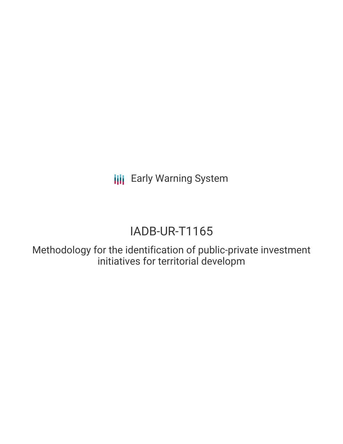**III** Early Warning System

# IADB-UR-T1165

Methodology for the identification of public-private investment initiatives for territorial developm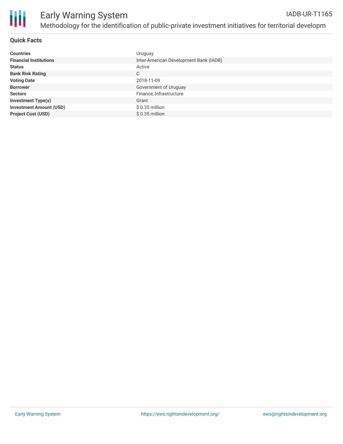

### **Quick Facts**

| <b>Countries</b>               | Uruguay                                |
|--------------------------------|----------------------------------------|
| <b>Financial Institutions</b>  | Inter-American Development Bank (IADB) |
| <b>Status</b>                  | Active                                 |
| <b>Bank Risk Rating</b>        | C                                      |
| <b>Voting Date</b>             | 2018-11-09                             |
| <b>Borrower</b>                | Government of Uruguay                  |
| <b>Sectors</b>                 | Finance, Infrastructure                |
| <b>Investment Type(s)</b>      | Grant                                  |
| <b>Investment Amount (USD)</b> | $$0.35$ million                        |
| <b>Project Cost (USD)</b>      | $$0.35$ million                        |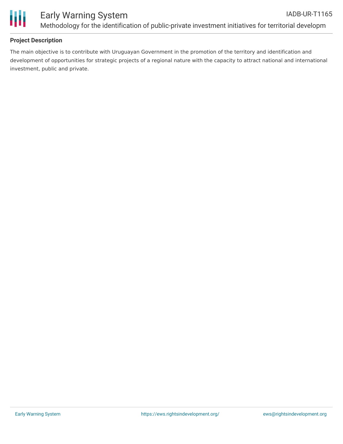

# **Project Description**

The main objective is to contribute with Uruguayan Government in the promotion of the territory and identification and development of opportunities for strategic projects of a regional nature with the capacity to attract national and international investment, public and private.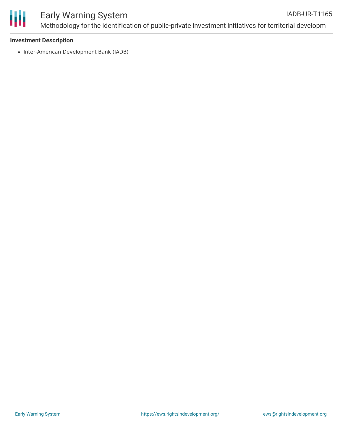

#### Early Warning System Methodology for the identification of public-private investment initiatives for territorial developm IADB-UR-T1165

#### **Investment Description**

• Inter-American Development Bank (IADB)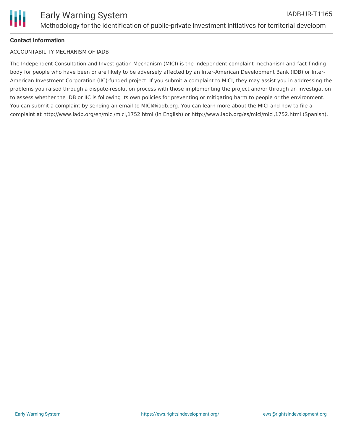# **Contact Information**

#### ACCOUNTABILITY MECHANISM OF IADB

The Independent Consultation and Investigation Mechanism (MICI) is the independent complaint mechanism and fact-finding body for people who have been or are likely to be adversely affected by an Inter-American Development Bank (IDB) or Inter-American Investment Corporation (IIC)-funded project. If you submit a complaint to MICI, they may assist you in addressing the problems you raised through a dispute-resolution process with those implementing the project and/or through an investigation to assess whether the IDB or IIC is following its own policies for preventing or mitigating harm to people or the environment. You can submit a complaint by sending an email to MICI@iadb.org. You can learn more about the MICI and how to file a complaint at http://www.iadb.org/en/mici/mici,1752.html (in English) or http://www.iadb.org/es/mici/mici,1752.html (Spanish).